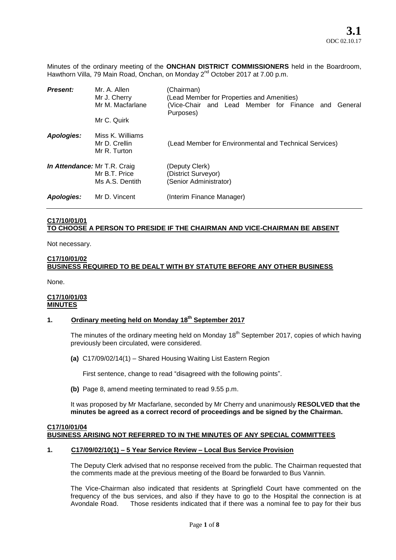Minutes of the ordinary meeting of the **ONCHAN DISTRICT COMMISSIONERS** held in the Boardroom, Hawthorn Villa, 79 Main Road, Onchan, on Monday 2<sup>nd</sup> October 2017 at 7.00 p.m.

| <b>Present:</b>              | Mr. A. Allen<br>Mr J. Cherry<br>Mr M. Macfarlane<br>Mr C. Quirk | (Chairman)<br>(Lead Member for Properties and Amenities)<br>(Vice-Chair and Lead Member for Finance and<br>General<br>Purposes) |
|------------------------------|-----------------------------------------------------------------|---------------------------------------------------------------------------------------------------------------------------------|
| Apologies:                   | Miss K. Williams<br>Mr D. Crellin<br>Mr R. Turton               | (Lead Member for Environmental and Technical Services)                                                                          |
| In Attendance: Mr T.R. Craig | Mr B.T. Price<br>Ms A.S. Dentith                                | (Deputy Clerk)<br>(District Surveyor)<br>(Senior Administrator)                                                                 |
| Apologies:                   | Mr D. Vincent                                                   | (Interim Finance Manager)                                                                                                       |

#### **C17/10/01/01 TO CHOOSE A PERSON TO PRESIDE IF THE CHAIRMAN AND VICE-CHAIRMAN BE ABSENT**

Not necessary.

#### **C17/10/01/02**

# **BUSINESS REQUIRED TO BE DEALT WITH BY STATUTE BEFORE ANY OTHER BUSINESS**

None.

#### **C17/10/01/03 MINUTES**

# **1. Ordinary meeting held on Monday 18th September 2017**

The minutes of the ordinary meeting held on Monday 18<sup>th</sup> September 2017, copies of which having previously been circulated, were considered.

**(a)** C17/09/02/14(1) – Shared Housing Waiting List Eastern Region

First sentence, change to read "disagreed with the following points".

**(b)** Page 8, amend meeting terminated to read 9.55 p.m.

It was proposed by Mr Macfarlane, seconded by Mr Cherry and unanimously **RESOLVED that the minutes be agreed as a correct record of proceedings and be signed by the Chairman.** 

#### **C17/10/01/04 BUSINESS ARISING NOT REFERRED TO IN THE MINUTES OF ANY SPECIAL COMMITTEES**

#### **1. C17/09/02/10(1) – 5 Year Service Review – Local Bus Service Provision**

The Deputy Clerk advised that no response received from the public. The Chairman requested that the comments made at the previous meeting of the Board be forwarded to Bus Vannin.

The Vice-Chairman also indicated that residents at Springfield Court have commented on the frequency of the bus services, and also if they have to go to the Hospital the connection is at Avondale Road. Those residents indicated that if there was a nominal fee to pay for their bus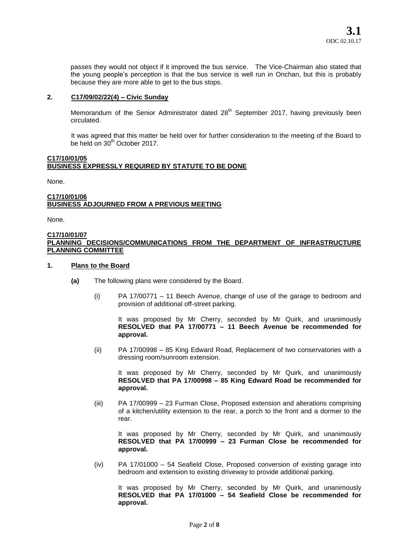passes they would not object if it improved the bus service. The Vice-Chairman also stated that the young people's perception is that the bus service is well run in Onchan, but this is probably because they are more able to get to the bus stops.

#### **2. C17/09/02/22(4) – Civic Sunday**

Memorandum of the Senior Administrator dated  $28<sup>th</sup>$  September 2017, having previously been circulated.

It was agreed that this matter be held over for further consideration to the meeting of the Board to be held on 30<sup>th</sup> October 2017.

#### **C17/10/01/05 BUSINESS EXPRESSLY REQUIRED BY STATUTE TO BE DONE**

None.

#### **C17/10/01/06 BUSINESS ADJOURNED FROM A PREVIOUS MEETING**

None.

#### **C17/10/01/07 PLANNING DECISIONS/COMMUNICATIONS FROM THE DEPARTMENT OF INFRASTRUCTURE PLANNING COMMITTEE**

#### **1. Plans to the Board**

- **(a)** The following plans were considered by the Board.
	- (i) PA 17/00771 11 Beech Avenue, change of use of the garage to bedroom and provision of additional off-street parking.

It was proposed by Mr Cherry, seconded by Mr Quirk, and unanimously **RESOLVED that PA 17/00771 – 11 Beech Avenue be recommended for approval.** 

(ii) PA 17/00998 – 85 King Edward Road, Replacement of two conservatories with a dressing room/sunroom extension.

It was proposed by Mr Cherry, seconded by Mr Quirk, and unanimously **RESOLVED that PA 17/00998 – 85 King Edward Road be recommended for approval.** 

(iii) PA 17/00999 – 23 Furman Close, Proposed extension and alterations comprising of a kitchen/utility extension to the rear, a porch to the front and a dormer to the rear.

It was proposed by Mr Cherry, seconded by Mr Quirk, and unanimously **RESOLVED that PA 17/00999 – 23 Furman Close be recommended for approval.** 

(iv) PA 17/01000 – 54 Seafield Close, Proposed conversion of existing garage into bedroom and extension to existing driveway to provide additional parking.

It was proposed by Mr Cherry, seconded by Mr Quirk, and unanimously **RESOLVED that PA 17/01000 – 54 Seafield Close be recommended for approval.**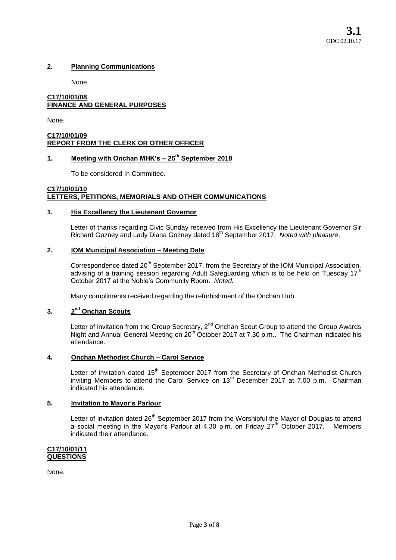# **2. Planning Communications**

None.

# **C17/10/01/08 FINANCE AND GENERAL PURPOSES**

None.

# **C17/10/01/09 REPORT FROM THE CLERK OR OTHER OFFICER**

# **1. Meeting with Onchan MHK's – 25th September 2018**

To be considered In Committee.

# **C17/10/01/10 LETTERS, PETITIONS, MEMORIALS AND OTHER COMMUNICATIONS**

# **1. His Excellency the Lieutenant Governor**

Letter of thanks regarding Civic Sunday received from His Excellency the Lieutenant Governor Sir Richard Gozney and Lady Diana Gozney dated 18th September 2017. *Noted with pleasure*.

# **2. IOM Municipal Association – Meeting Date**

Correspondence dated 20<sup>th</sup> September 2017, from the Secretary of the IOM Municipal Association, advising of a training session regarding Adult Safeguarding which is to be held on Tuesday 17<sup>th</sup> October 2017 at the Noble's Community Room. *Noted.* 

Many compliments received regarding the refurbishment of the Onchan Hub.

#### **3. 2 nd Onchan Scouts**

Letter of invitation from the Group Secretary, 2<sup>nd</sup> Onchan Scout Group to attend the Group Awards Night and Annual General Meeting on 20<sup>th</sup> October 2017 at 7.30 p.m.. The Chairman indicated his attendance.

# **4. Onchan Methodist Church – Carol Service**

Letter of invitation dated 15<sup>th</sup> September 2017 from the Secretary of Onchan Methodist Church inviting Members to attend the Carol Service on  $13<sup>th</sup>$  December 2017 at 7.00 p.m. Chairman indicated his attendance.

# **5. Invitation to Mayor's Parlour**

Letter of invitation dated 26<sup>th</sup> September 2017 from the Worshipful the Mayor of Douglas to attend a social meeting in the Mayor's Parlour at 4.30 p.m. on Friday  $27<sup>th</sup>$  October 2017. Members indicated their attendance.

**C17/10/01/11 QUESTIONS** 

None.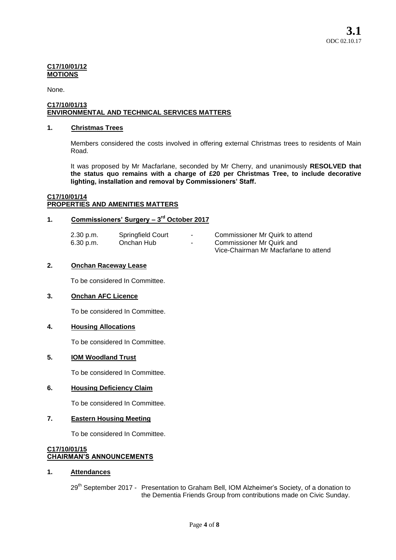#### **C17/10/01/12 MOTIONS**

None.

#### **C17/10/01/13 ENVIRONMENTAL AND TECHNICAL SERVICES MATTERS**

# **1. Christmas Trees**

Members considered the costs involved in offering external Christmas trees to residents of Main Road.

It was proposed by Mr Macfarlane, seconded by Mr Cherry, and unanimously **RESOLVED that the status quo remains with a charge of £20 per Christmas Tree, to include decorative lighting, installation and removal by Commissioners' Staff.**

# **C17/10/01/14 PROPERTIES AND AMENITIES MATTERS**

# **1. Commissioners' Surgery – 3 rd October 2017**

| 2.30 p.m. | Springfield Court | $\sim$ | Commissioner Mr Quirk to attend       |
|-----------|-------------------|--------|---------------------------------------|
| 6.30 p.m. | Onchan Hub        | $\sim$ | Commissioner Mr Quirk and             |
|           |                   |        | Vice-Chairman Mr Macfarlane to attend |

# **2. Onchan Raceway Lease**

To be considered In Committee.

# **3. Onchan AFC Licence**

To be considered In Committee.

# **4. Housing Allocations**

To be considered In Committee.

# **5. IOM Woodland Trust**

To be considered In Committee.

# **6. Housing Deficiency Claim**

To be considered In Committee.

# **7. Eastern Housing Meeting**

To be considered In Committee.

#### **C17/10/01/15 CHAIRMAN'S ANNOUNCEMENTS**

# **1. Attendances**

29<sup>th</sup> September 2017 - Presentation to Graham Bell, IOM Alzheimer's Society, of a donation to the Dementia Friends Group from contributions made on Civic Sunday.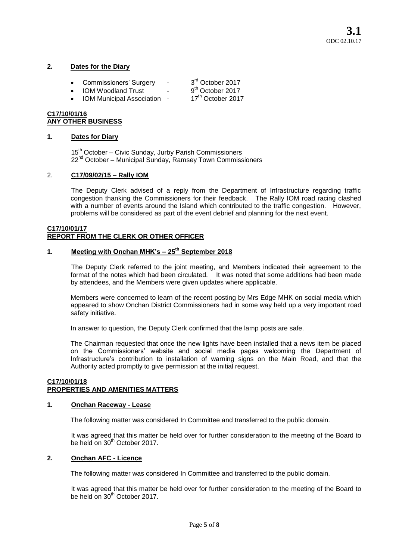# **2. Dates for the Diary**

- Commissioners' Surgery -3<sup>rd</sup> October 2017
- IOM Woodland Trust 9<sup>th</sup> October 2017<br>• IOM Municipal Association 17<sup>th</sup> October 2017

IOM Municipal Association -

9<sup>th</sup> October 2017

**C17/10/01/16 ANY OTHER BUSINESS** 

# **1. Dates for Diary**

15<sup>th</sup> October – Civic Sunday, Jurby Parish Commissioners 22<sup>nd</sup> October – Municipal Sunday, Ramsey Town Commissioners

# 2. **C17/09/02/15 – Rally IOM**

The Deputy Clerk advised of a reply from the Department of Infrastructure regarding traffic congestion thanking the Commissioners for their feedback. The Rally IOM road racing clashed with a number of events around the Island which contributed to the traffic congestion. However, problems will be considered as part of the event debrief and planning for the next event.

#### **C17/10/01/17 REPORT FROM THE CLERK OR OTHER OFFICER**

# **1. Meeting with Onchan MHK's – 25th September 2018**

The Deputy Clerk referred to the joint meeting, and Members indicated their agreement to the format of the notes which had been circulated. It was noted that some additions had been made by attendees, and the Members were given updates where applicable.

Members were concerned to learn of the recent posting by Mrs Edge MHK on social media which appeared to show Onchan District Commissioners had in some way held up a very important road safety initiative.

In answer to question, the Deputy Clerk confirmed that the lamp posts are safe.

The Chairman requested that once the new lights have been installed that a news item be placed on the Commissioners' website and social media pages welcoming the Department of Infrastructure's contribution to installation of warning signs on the Main Road, and that the Authority acted promptly to give permission at the initial request.

#### **C17/10/01/18 PROPERTIES AND AMENITIES MATTERS**

# **1. Onchan Raceway - Lease**

The following matter was considered In Committee and transferred to the public domain.

It was agreed that this matter be held over for further consideration to the meeting of the Board to be held on 30<sup>th</sup> October 2017

# **2. Onchan AFC - Licence**

The following matter was considered In Committee and transferred to the public domain.

It was agreed that this matter be held over for further consideration to the meeting of the Board to be held on 30<sup>th</sup> October 2017.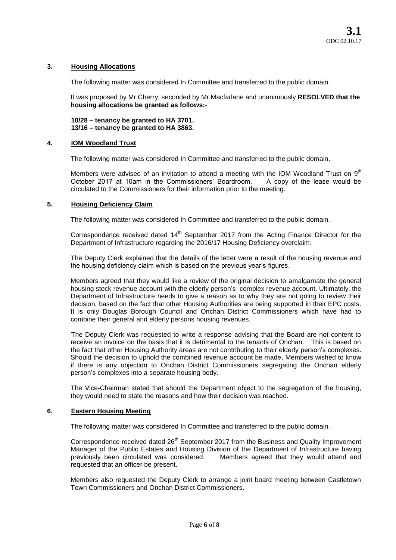#### **3. Housing Allocations**

The following matter was considered In Committee and transferred to the public domain.

It was proposed by Mr Cherry, seconded by Mr Macfarlane and unanimously **RESOLVED that the housing allocations be granted as follows:-**

**10/28 – tenancy be granted to HA 3701. 13/16 – tenancy be granted to HA 3863.** 

#### **4. IOM Woodland Trust**

The following matter was considered In Committee and transferred to the public domain.

Members were advised of an invitation to attend a meeting with the IOM Woodland Trust on  $9<sup>th</sup>$ October 2017 at 10am in the Commissioners' Boardroom. A copy of the lease would be circulated to the Commissioners for their information prior to the meeting.

#### **5. Housing Deficiency Claim**

The following matter was considered In Committee and transferred to the public domain.

Correspondence received dated  $14<sup>th</sup>$  September 2017 from the Acting Finance Director for the Department of Infrastructure regarding the 2016/17 Housing Deficiency overclaim.

The Deputy Clerk explained that the details of the letter were a result of the housing revenue and the housing deficiency claim which is based on the previous year's figures.

Members agreed that they would like a review of the original decision to amalgamate the general housing stock revenue account with the elderly person's complex revenue account. Ultimately, the Department of Infrastructure needs to give a reason as to why they are not going to review their decision, based on the fact that other Housing Authorities are being supported in their EPC costs. It is only Douglas Borough Council and Onchan District Commissioners which have had to combine their general and elderly persons housing revenues.

The Deputy Clerk was requested to write a response advising that the Board are not content to receive an invoice on the basis that it is detrimental to the tenants of Onchan. This is based on the fact that other Housing Authority areas are not contributing to their elderly person's complexes. Should the decision to uphold the combined revenue account be made, Members wished to know if there is any objection to Onchan District Commissioners segregating the Onchan elderly person's complexes into a separate housing body.

The Vice-Chairman stated that should the Department object to the segregation of the housing, they would need to state the reasons and how their decision was reached.

#### **6. Eastern Housing Meeting**

The following matter was considered In Committee and transferred to the public domain.

Correspondence received dated 26<sup>th</sup> September 2017 from the Business and Quality Improvement Manager of the Public Estates and Housing Division of the Department of Infrastructure having previously been circulated was considered. Members agreed that they would attend and requested that an officer be present.

Members also requested the Deputy Clerk to arrange a joint board meeting between Castletown Town Commissioners and Onchan District Commissioners.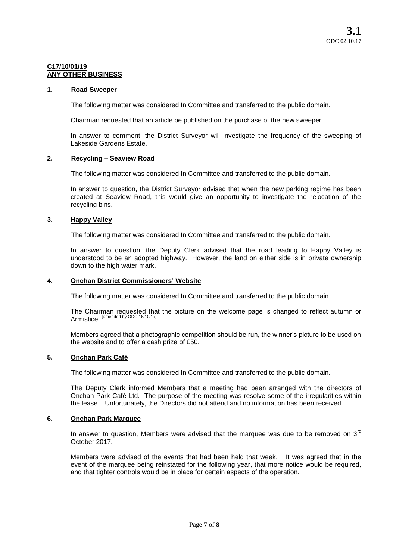#### **C17/10/01/19 ANY OTHER BUSINESS**

#### **1. Road Sweeper**

The following matter was considered In Committee and transferred to the public domain.

Chairman requested that an article be published on the purchase of the new sweeper.

In answer to comment, the District Surveyor will investigate the frequency of the sweeping of Lakeside Gardens Estate.

#### **2. Recycling – Seaview Road**

The following matter was considered In Committee and transferred to the public domain.

In answer to question, the District Surveyor advised that when the new parking regime has been created at Seaview Road, this would give an opportunity to investigate the relocation of the recycling bins.

#### **3. Happy Valley**

The following matter was considered In Committee and transferred to the public domain.

In answer to question, the Deputy Clerk advised that the road leading to Happy Valley is understood to be an adopted highway. However, the land on either side is in private ownership down to the high water mark.

#### **4. Onchan District Commissioners' Website**

The following matter was considered In Committee and transferred to the public domain.

The Chairman requested that the picture on the welcome page is changed to reflect autumn or Armistice. [amended by ODC 16/10/17]

Members agreed that a photographic competition should be run, the winner's picture to be used on the website and to offer a cash prize of £50.

# **5. Onchan Park Café**

The following matter was considered In Committee and transferred to the public domain.

The Deputy Clerk informed Members that a meeting had been arranged with the directors of Onchan Park Café Ltd. The purpose of the meeting was resolve some of the irregularities within the lease. Unfortunately, the Directors did not attend and no information has been received.

#### **6. Onchan Park Marquee**

In answer to question, Members were advised that the marquee was due to be removed on  $3<sup>rd</sup>$ October 2017.

Members were advised of the events that had been held that week. It was agreed that in the event of the marquee being reinstated for the following year, that more notice would be required, and that tighter controls would be in place for certain aspects of the operation.